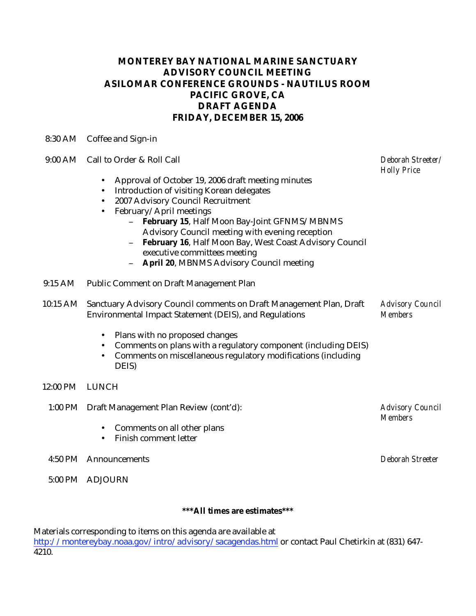## **MONTEREY BAY NATIONAL MARINE SANCTUARY ADVISORY COUNCIL MEETING ASILOMAR CONFERENCE GROUNDS - NAUTILUS ROOM PACIFIC GROVE, CA DRAFT AGENDA FRIDAY, DECEMBER 15, 2006**

8:30 AM Coffee and Sign-in

- 9:00 AM Call to Order & Roll Call
	- Approval of October 19, 2006 draft meeting minutes
	- Introduction of visiting Korean delegates
	- 2007 Advisory Council Recruitment
	- February/April meetings
		- **February 15**, Half Moon Bay-Joint GFNMS/MBNMS Advisory Council meeting with evening reception
		- **February 16**, Half Moon Bay, West Coast Advisory Council executive committees meeting

*Deborah Streeter/* 

*Advisory Council* 

*Members* 

*Holly Price* 

- **April 20**, MBNMS Advisory Council meeting
- 9:15 AM Public Comment on Draft Management Plan
- 10:15 AM Sanctuary Advisory Council comments on Draft Management Plan, Draft Environmental Impact Statement (DEIS), and Regulations *Advisory Council Members* 
	- Plans with no proposed changes
	- Comments on plans with a regulatory component (including DEIS)
	- Comments on miscellaneous regulatory modifications (including DEIS)
- 12:00 PM LUNCH
	- 1:00 PM Draft Management Plan Review (cont'd):
		- Comments on all other plans
		- Finish comment letter
	- 4:50 PM Announcements *Deborah Streeter*
	- 5:00 PM ADJOURN

## **\*\*\*All times are estimates\*\*\***

Materials corresponding to items on this agenda are available at

http://montereybay.noaa.gov/intro/advisory/sacagendas.html or contact Paul Chetirkin at (831) 647- 4210.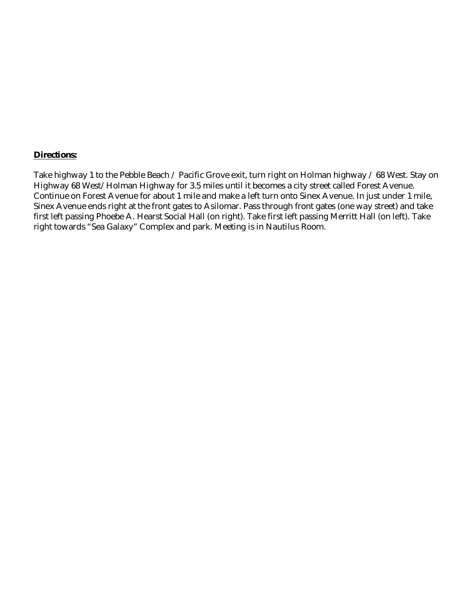## **Directions:**

Take highway 1 to the Pebble Beach / Pacific Grove exit, turn right on Holman highway / 68 West. Stay on Highway 68 West/Holman Highway for 3.5 miles until it becomes a city street called Forest Avenue. Continue on Forest Avenue for about 1 mile and make a left turn onto Sinex Avenue. In just under 1 mile, Sinex Avenue ends right at the front gates to Asilomar. Pass through front gates (one way street) and take first left passing Phoebe A. Hearst Social Hall (on right). Take first left passing Merritt Hall (on left). Take right towards "Sea Galaxy" Complex and park. Meeting is in Nautilus Room.